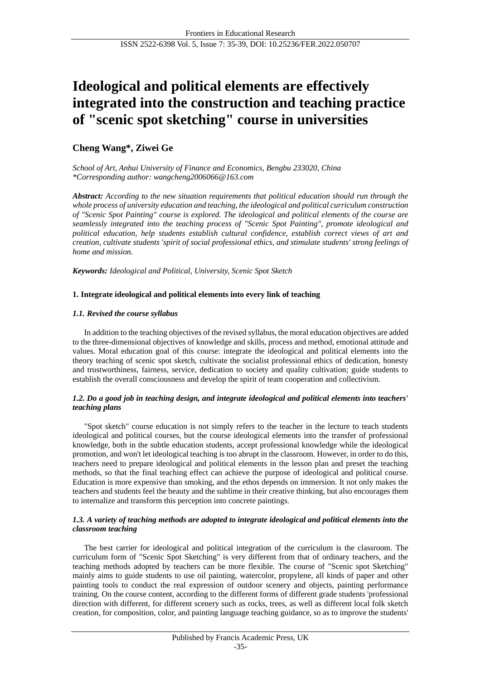# **Ideological and political elements are effectively integrated into the construction and teaching practice of "scenic spot sketching" course in universities**

## **Cheng Wang\*, Ziwei Ge**

*School of Art, Anhui University of Finance and Economics, Bengbu 233020, China \*Corresponding author: wangcheng2006066@163.com*

*Abstract: According to the new situation requirements that political education should run through the whole process of university education and teaching, the ideological and political curriculum construction of "Scenic Spot Painting" course is explored. The ideological and political elements of the course are seamlessly integrated into the teaching process of "Scenic Spot Painting", promote ideological and political education, help students establish cultural confidence, establish correct views of art and creation, cultivate students 'spirit of social professional ethics, and stimulate students' strong feelings of home and mission.*

*Keywords: Ideological and Political, University, Scenic Spot Sketch*

## **1. Integrate ideological and political elements into every link of teaching**

## *1.1. Revised the course syllabus*

In addition to the teaching objectives of the revised syllabus, the moral education objectives are added to the three-dimensional objectives of knowledge and skills, process and method, emotional attitude and values. Moral education goal of this course: integrate the ideological and political elements into the theory teaching of scenic spot sketch, cultivate the socialist professional ethics of dedication, honesty and trustworthiness, fairness, service, dedication to society and quality cultivation; guide students to establish the overall consciousness and develop the spirit of team cooperation and collectivism.

#### *1.2. Do a good job in teaching design, and integrate ideological and political elements into teachers' teaching plans*

"Spot sketch" course education is not simply refers to the teacher in the lecture to teach students ideological and political courses, but the course ideological elements into the transfer of professional knowledge, both in the subtle education students, accept professional knowledge while the ideological promotion, and won't let ideological teaching is too abrupt in the classroom. However, in order to do this, teachers need to prepare ideological and political elements in the lesson plan and preset the teaching methods, so that the final teaching effect can achieve the purpose of ideological and political course. Education is more expensive than smoking, and the ethos depends on immersion. It not only makes the teachers and students feel the beauty and the sublime in their creative thinking, but also encourages them to internalize and transform this perception into concrete paintings.

#### *1.3. A variety of teaching methods are adopted to integrate ideological and political elements into the classroom teaching*

The best carrier for ideological and political integration of the curriculum is the classroom. The curriculum form of "Scenic Spot Sketching" is very different from that of ordinary teachers, and the teaching methods adopted by teachers can be more flexible. The course of "Scenic spot Sketching" mainly aims to guide students to use oil painting, watercolor, propylene, all kinds of paper and other painting tools to conduct the real expression of outdoor scenery and objects, painting performance training. On the course content, according to the different forms of different grade students 'professional direction with different, for different scenery such as rocks, trees, as well as different local folk sketch creation, for composition, color, and painting language teaching guidance, so as to improve the students'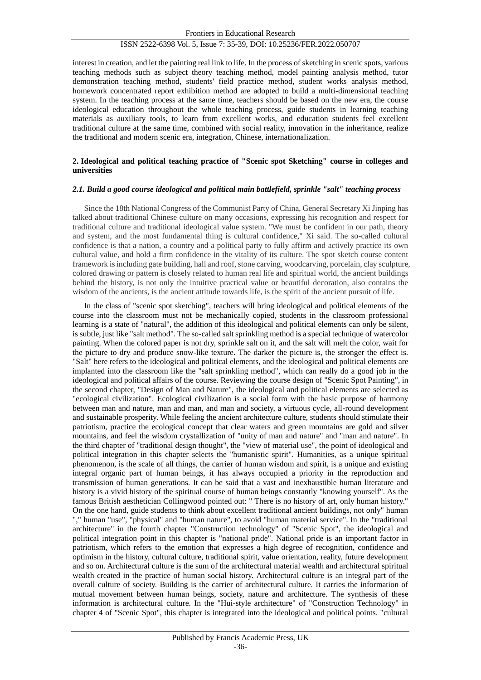## ISSN 2522-6398 Vol. 5, Issue 7: 35-39, DOI: 10.25236/FER.2022.050707

interest in creation, and let the painting real link to life. In the process of sketching in scenic spots, various teaching methods such as subject theory teaching method, model painting analysis method, tutor demonstration teaching method, students' field practice method, student works analysis method, homework concentrated report exhibition method are adopted to build a multi-dimensional teaching system. In the teaching process at the same time, teachers should be based on the new era, the course ideological education throughout the whole teaching process, guide students in learning teaching materials as auxiliary tools, to learn from excellent works, and education students feel excellent traditional culture at the same time, combined with social reality, innovation in the inheritance, realize the traditional and modern scenic era, integration, Chinese, internationalization.

#### **2. Ideological and political teaching practice of "Scenic spot Sketching" course in colleges and universities**

#### *2.1. Build a good course ideological and political main battlefield, sprinkle "salt" teaching process*

Since the 18th National Congress of the Communist Party of China, General Secretary Xi Jinping has talked about traditional Chinese culture on many occasions, expressing his recognition and respect for traditional culture and traditional ideological value system. "We must be confident in our path, theory and system, and the most fundamental thing is cultural confidence," Xi said. The so-called cultural confidence is that a nation, a country and a political party to fully affirm and actively practice its own cultural value, and hold a firm confidence in the vitality of its culture. The spot sketch course content framework is including gate building, hall and roof, stone carving, woodcarving, porcelain, clay sculpture, colored drawing or pattern is closely related to human real life and spiritual world, the ancient buildings behind the history, is not only the intuitive practical value or beautiful decoration, also contains the wisdom of the ancients, is the ancient attitude towards life, is the spirit of the ancient pursuit of life.

In the class of "scenic spot sketching", teachers will bring ideological and political elements of the course into the classroom must not be mechanically copied, students in the classroom professional learning is a state of "natural", the addition of this ideological and political elements can only be silent, is subtle, just like "salt method". The so-called salt sprinkling method is a special technique of watercolor painting. When the colored paper is not dry, sprinkle salt on it, and the salt will melt the color, wait for the picture to dry and produce snow-like texture. The darker the picture is, the stronger the effect is. "Salt" here refers to the ideological and political elements, and the ideological and political elements are implanted into the classroom like the "salt sprinkling method", which can really do a good job in the ideological and political affairs of the course. Reviewing the course design of "Scenic Spot Painting", in the second chapter, "Design of Man and Nature", the ideological and political elements are selected as "ecological civilization". Ecological civilization is a social form with the basic purpose of harmony between man and nature, man and man, and man and society, a virtuous cycle, all-round development and sustainable prosperity. While feeling the ancient architecture culture, students should stimulate their patriotism, practice the ecological concept that clear waters and green mountains are gold and silver mountains, and feel the wisdom crystallization of "unity of man and nature" and "man and nature". In the third chapter of "traditional design thought", the "view of material use", the point of ideological and political integration in this chapter selects the "humanistic spirit". Humanities, as a unique spiritual phenomenon, is the scale of all things, the carrier of human wisdom and spirit, is a unique and existing integral organic part of human beings, it has always occupied a priority in the reproduction and transmission of human generations. It can be said that a vast and inexhaustible human literature and history is a vivid history of the spiritual course of human beings constantly "knowing yourself". As the famous British aesthetician Collingwood pointed out: " There is no history of art, only human history." On the one hand, guide students to think about excellent traditional ancient buildings, not only" human "," human "use", "physical" and "human nature", to avoid "human material service". In the "traditional architecture" in the fourth chapter "Construction technology" of "Scenic Spot", the ideological and political integration point in this chapter is "national pride". National pride is an important factor in patriotism, which refers to the emotion that expresses a high degree of recognition, confidence and optimism in the history, cultural culture, traditional spirit, value orientation, reality, future development and so on. Architectural culture is the sum of the architectural material wealth and architectural spiritual wealth created in the practice of human social history. Architectural culture is an integral part of the overall culture of society. Building is the carrier of architectural culture. It carries the information of mutual movement between human beings, society, nature and architecture. The synthesis of these information is architectural culture. In the "Hui-style architecture" of "Construction Technology" in chapter 4 of "Scenic Spot", this chapter is integrated into the ideological and political points. "cultural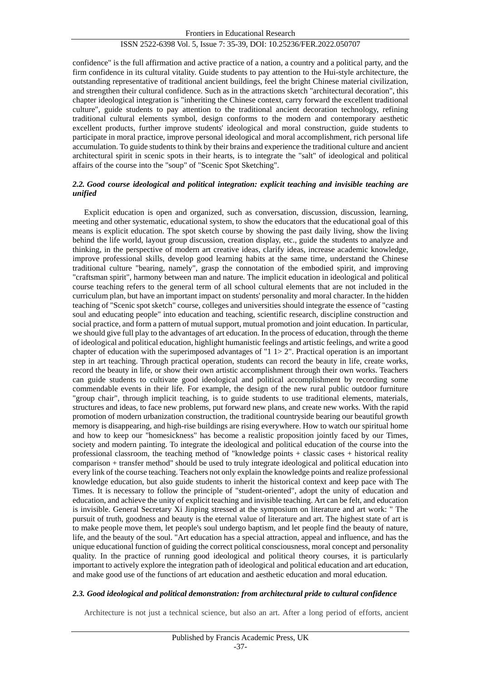#### ISSN 2522-6398 Vol. 5, Issue 7: 35-39, DOI: 10.25236/FER.2022.050707

confidence" is the full affirmation and active practice of a nation, a country and a political party, and the firm confidence in its cultural vitality. Guide students to pay attention to the Hui-style architecture, the outstanding representative of traditional ancient buildings, feel the bright Chinese material civilization, and strengthen their cultural confidence. Such as in the attractions sketch "architectural decoration", this chapter ideological integration is "inheriting the Chinese context, carry forward the excellent traditional culture", guide students to pay attention to the traditional ancient decoration technology, refining traditional cultural elements symbol, design conforms to the modern and contemporary aesthetic excellent products, further improve students' ideological and moral construction, guide students to participate in moral practice, improve personal ideological and moral accomplishment, rich personal life accumulation. To guide students to think by their brains and experience the traditional culture and ancient architectural spirit in scenic spots in their hearts, is to integrate the "salt" of ideological and political affairs of the course into the "soup" of "Scenic Spot Sketching".

#### *2.2. Good course ideological and political integration: explicit teaching and invisible teaching are unified*

Explicit education is open and organized, such as conversation, discussion, discussion, learning, meeting and other systematic, educational system, to show the educators that the educational goal of this means is explicit education. The spot sketch course by showing the past daily living, show the living behind the life world, layout group discussion, creation display, etc., guide the students to analyze and thinking, in the perspective of modern art creative ideas, clarify ideas, increase academic knowledge, improve professional skills, develop good learning habits at the same time, understand the Chinese traditional culture "bearing, namely", grasp the connotation of the embodied spirit, and improving "craftsman spirit", harmony between man and nature. The implicit education in ideological and political course teaching refers to the general term of all school cultural elements that are not included in the curriculum plan, but have an important impact on students' personality and moral character. In the hidden teaching of "Scenic spot sketch" course, colleges and universities should integrate the essence of "casting soul and educating people" into education and teaching, scientific research, discipline construction and social practice, and form a pattern of mutual support, mutual promotion and joint education. In particular, we should give full play to the advantages of art education. In the process of education, through the theme of ideological and political education, highlight humanistic feelings and artistic feelings, and write a good chapter of education with the superimposed advantages of " $1 1 > 2$ ". Practical operation is an important step in art teaching. Through practical operation, students can record the beauty in life, create works, record the beauty in life, or show their own artistic accomplishment through their own works. Teachers can guide students to cultivate good ideological and political accomplishment by recording some commendable events in their life. For example, the design of the new rural public outdoor furniture "group chair", through implicit teaching, is to guide students to use traditional elements, materials, structures and ideas, to face new problems, put forward new plans, and create new works. With the rapid promotion of modern urbanization construction, the traditional countryside bearing our beautiful growth memory is disappearing, and high-rise buildings are rising everywhere. How to watch our spiritual home and how to keep our "homesickness" has become a realistic proposition jointly faced by our Times, society and modern painting. To integrate the ideological and political education of the course into the professional classroom, the teaching method of "knowledge points + classic cases + historical reality comparison + transfer method" should be used to truly integrate ideological and political education into every link of the course teaching. Teachers not only explain the knowledge points and realize professional knowledge education, but also guide students to inherit the historical context and keep pace with The Times. It is necessary to follow the principle of "student-oriented", adopt the unity of education and education, and achieve the unity of explicit teaching and invisible teaching. Art can be felt, and education is invisible. General Secretary Xi Jinping stressed at the symposium on literature and art work: " The pursuit of truth, goodness and beauty is the eternal value of literature and art. The highest state of art is to make people move them, let people's soul undergo baptism, and let people find the beauty of nature, life, and the beauty of the soul. "Art education has a special attraction, appeal and influence, and has the unique educational function of guiding the correct political consciousness, moral concept and personality quality. In the practice of running good ideological and political theory courses, it is particularly important to actively explore the integration path of ideological and political education and art education, and make good use of the functions of art education and aesthetic education and moral education.

#### *2.3. Good ideological and political demonstration: from architectural pride to cultural confidence*

Architecture is not just a technical science, but also an art. After a long period of efforts, ancient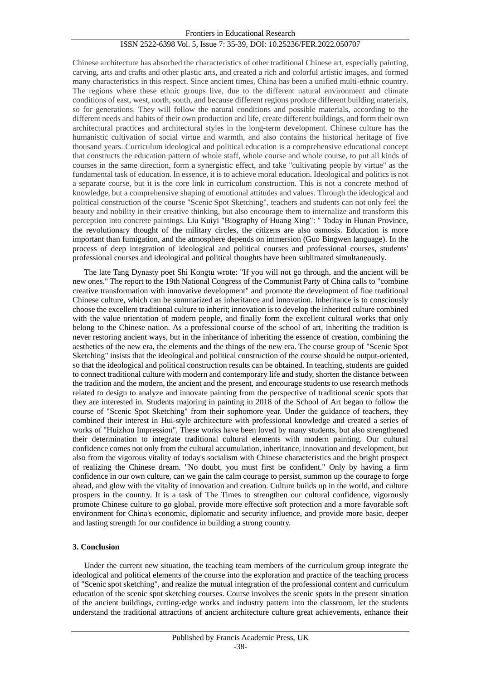#### ISSN 2522-6398 Vol. 5, Issue 7: 35-39, DOI: 10.25236/FER.2022.050707

Chinese architecture has absorbed the characteristics of other traditional Chinese art, especially painting, carving, arts and crafts and other plastic arts, and created a rich and colorful artistic images, and formed many characteristics in this respect. Since ancient times, China has been a unified multi-ethnic country. The regions where these ethnic groups live, due to the different natural environment and climate conditions of east, west, north, south, and because different regions produce different building materials, so for generations. They will follow the natural conditions and possible materials, according to the different needs and habits of their own production and life, create different buildings, and form their own architectural practices and architectural styles in the long-term development. Chinese culture has the humanistic cultivation of social virtue and warmth, and also contains the historical heritage of five thousand years. Curriculum ideological and political education is a comprehensive educational concept that constructs the education pattern of whole staff, whole course and whole course, to put all kinds of courses in the same direction, form a synergistic effect, and take "cultivating people by virtue" as the fundamental task of education. In essence, it is to achieve moral education. Ideological and politics is not a separate course, but it is the core link in curriculum construction. This is not a concrete method of knowledge, but a comprehensive shaping of emotional attitudes and values. Through the ideological and political construction of the course "Scenic Spot Sketching", teachers and students can not only feel the beauty and nobility in their creative thinking, but also encourage them to internalize and transform this perception into concrete paintings. Liu Kuiyi "Biography of Huang Xing": " Today in Hunan Province, the revolutionary thought of the military circles, the citizens are also osmosis. Education is more important than fumigation, and the atmosphere depends on immersion (Guo Bingwen language). In the process of deep integration of ideological and political courses and professional courses, students' professional courses and ideological and political thoughts have been sublimated simultaneously.

The late Tang Dynasty poet Shi Kongtu wrote: "If you will not go through, and the ancient will be new ones." The report to the 19th National Congress of the Communist Party of China calls to "combine creative transformation with innovative development" and promote the development of fine traditional Chinese culture, which can be summarized as inheritance and innovation. Inheritance is to consciously choose the excellent traditional culture to inherit; innovation is to develop the inherited culture combined with the value orientation of modern people, and finally form the excellent cultural works that only belong to the Chinese nation. As a professional course of the school of art, inheriting the tradition is never restoring ancient ways, but in the inheritance of inheriting the essence of creation, combining the aesthetics of the new era, the elements and the things of the new era. The course group of "Scenic Spot Sketching" insists that the ideological and political construction of the course should be output-oriented, so that the ideological and political construction results can be obtained. In teaching, students are guided to connect traditional culture with modern and contemporary life and study, shorten the distance between the tradition and the modern, the ancient and the present, and encourage students to use research methods related to design to analyze and innovate painting from the perspective of traditional scenic spots that they are interested in. Students majoring in painting in 2018 of the School of Art began to follow the course of "Scenic Spot Sketching" from their sophomore year. Under the guidance of teachers, they combined their interest in Hui-style architecture with professional knowledge and created a series of works of "Huizhou Impression". These works have been loved by many students, but also strengthened their determination to integrate traditional cultural elements with modern painting. Our cultural confidence comes not only from the cultural accumulation, inheritance, innovation and development, but also from the vigorous vitality of today's socialism with Chinese characteristics and the bright prospect of realizing the Chinese dream. "No doubt, you must first be confident." Only by having a firm confidence in our own culture, can we gain the calm courage to persist, summon up the courage to forge ahead, and glow with the vitality of innovation and creation. Culture builds up in the world, and culture prospers in the country. It is a task of The Times to strengthen our cultural confidence, vigorously promote Chinese culture to go global, provide more effective soft protection and a more favorable soft environment for China's economic, diplomatic and security influence, and provide more basic, deeper and lasting strength for our confidence in building a strong country.

#### **3. Conclusion**

Under the current new situation, the teaching team members of the curriculum group integrate the ideological and political elements of the course into the exploration and practice of the teaching process of "Scenic spot sketching", and realize the mutual integration of the professional content and curriculum education of the scenic spot sketching courses. Course involves the scenic spots in the present situation of the ancient buildings, cutting-edge works and industry pattern into the classroom, let the students understand the traditional attractions of ancient architecture culture great achievements, enhance their